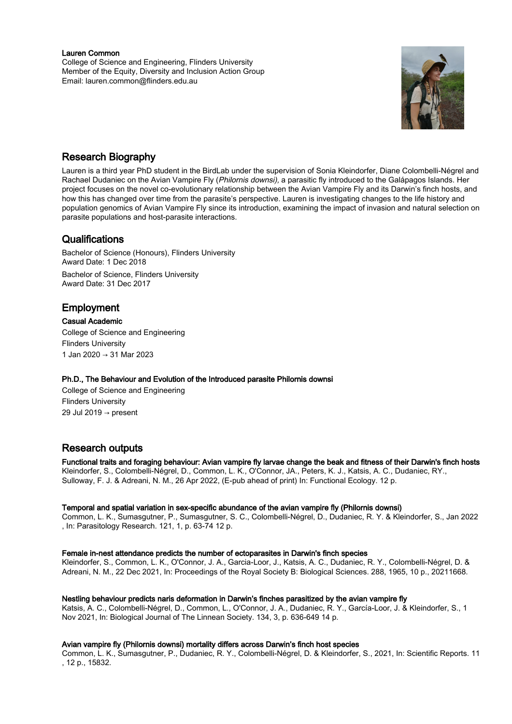#### Lauren Common

College of Science and Engineering, Flinders University Member of the Equity, Diversity and Inclusion Action Group Email: lauren.common@flinders.edu.au



## Research Biography

Lauren is a third year PhD student in the BirdLab under the supervision of Sonia Kleindorfer, Diane Colombelli-Négrel and Rachael Dudaniec on the Avian Vampire Fly (Philornis downsi), a parasitic fly introduced to the Galápagos Islands. Her project focuses on the novel co-evolutionary relationship between the Avian Vampire Fly and its Darwin's finch hosts, and how this has changed over time from the parasite's perspective. Lauren is investigating changes to the life history and population genomics of Avian Vampire Fly since its introduction, examining the impact of invasion and natural selection on parasite populations and host-parasite interactions.

### **Qualifications**

Bachelor of Science (Honours), Flinders University Award Date: 1 Dec 2018

Bachelor of Science, Flinders University Award Date: 31 Dec 2017

## **Employment**

Casual Academic

College of Science and Engineering Flinders University 1 Jan 2020 → 31 Mar 2023

#### Ph.D., The Behaviour and Evolution of the Introduced parasite Philornis downsi

College of Science and Engineering Flinders University 29 Jul 2019 → present

# Research outputs

Functional traits and foraging behaviour: Avian vampire fly larvae change the beak and fitness of their Darwin's finch hosts Kleindorfer, S., Colombelli-Négrel, D., Common, L. K., O'Connor, JA., Peters, K. J., Katsis, A. C., Dudaniec, RY.,

Sulloway, F. J. & Adreani, N. M., 26 Apr 2022, (E-pub ahead of print) In: Functional Ecology. 12 p.

#### Temporal and spatial variation in sex-specific abundance of the avian vampire fly (Philornis downsi)

Common, L. K., Sumasgutner, P., Sumasgutner, S. C., Colombelli-Négrel, D., Dudaniec, R. Y. & Kleindorfer, S., Jan 2022 , In: Parasitology Research. 121, 1, p. 63-74 12 p.

#### Female in-nest attendance predicts the number of ectoparasites in Darwin's finch species

Kleindorfer, S., Common, L. K., O'Connor, J. A., Garcia-Loor, J., Katsis, A. C., Dudaniec, R. Y., Colombelli-Négrel, D. & Adreani, N. M., 22 Dec 2021, In: Proceedings of the Royal Society B: Biological Sciences. 288, 1965, 10 p., 20211668.

#### Nestling behaviour predicts naris deformation in Darwin's finches parasitized by the avian vampire fly

Katsis, A. C., Colombelli-Négrel, D., Common, L., O'Connor, J. A., Dudaniec, R. Y., García-Loor, J. & Kleindorfer, S., 1 Nov 2021, In: Biological Journal of The Linnean Society. 134, 3, p. 636-649 14 p.

#### Avian vampire fly (Philornis downsi) mortality differs across Darwin's finch host species

Common, L. K., Sumasgutner, P., Dudaniec, R. Y., Colombelli-Négrel, D. & Kleindorfer, S., 2021, In: Scientific Reports. 11 , 12 p., 15832.